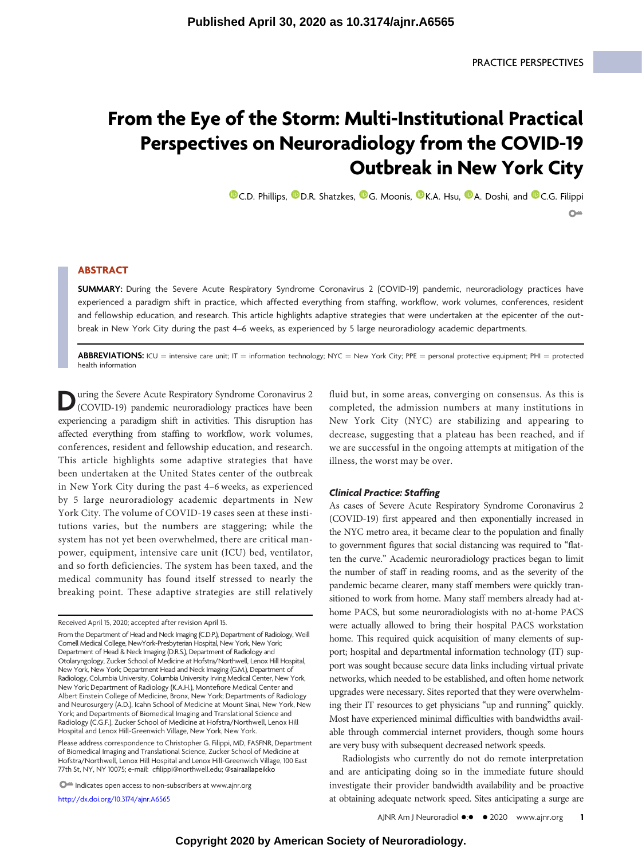# From the Eye of the Storm: Multi-Institutional Practical Perspectives on Neuroradiology from the COVID-19 Outbreak in New York City

**O**[C.D. Phillips,](https://orcid.org/0000-0003-1773-8899) O[D.R. Shatzkes,](https://orcid.org/0000-0002-1559-7298) O[G. Moonis,](https://orcid.org/0000-0003-1688-2450) O[K.A. Hsu,](https://orcid.org/0000-0003-4995-0990) O[A. Doshi,](https://orcid.org/0000-0002-2507-436X) and O[C.G. Filippi](https://orcid.org/0000-0002-4565-2614)  $\Omega$  =

# ABSTRACT

SUMMARY: During the Severe Acute Respiratory Syndrome Coronavirus 2 (COVID-19) pandemic, neuroradiology practices have experienced a paradigm shift in practice, which affected everything from staffing, workflow, work volumes, conferences, resident and fellowship education, and research. This article highlights adaptive strategies that were undertaken at the epicenter of the outbreak in New York City during the past 4–6 weeks, as experienced by 5 large neuroradiology academic departments.

**ABBREVIATIONS:** ICU = intensive care unit; IT = information technology; NYC = New York City; PPE = personal protective equipment; PHI = protected health information

Ultimative Severe Acute Respiratory Syndrome Coronavirus 2 experiencing a paradigm shift in activities. This disruption has affected everything from staffing to workflow, work volumes, conferences, resident and fellowship education, and research. This article highlights some adaptive strategies that have been undertaken at the United States center of the outbreak in New York City during the past 4–6 weeks, as experienced by 5 large neuroradiology academic departments in New York City. The volume of COVID-19 cases seen at these institutions varies, but the numbers are staggering; while the system has not yet been overwhelmed, there are critical manpower, equipment, intensive care unit (ICU) bed, ventilator, and so forth deficiencies. The system has been taxed, and the medical community has found itself stressed to nearly the breaking point. These adaptive strategies are still relatively

 $\bigcirc$  Indicates open access to non-subscribers at www.ajnr.org

<http://dx.doi.org/10.3174/ajnr.A6565>

fluid but, in some areas, converging on consensus. As this is completed, the admission numbers at many institutions in New York City (NYC) are stabilizing and appearing to decrease, suggesting that a plateau has been reached, and if we are successful in the ongoing attempts at mitigation of the illness, the worst may be over.

#### Clinical Practice: Staffing

As cases of Severe Acute Respiratory Syndrome Coronavirus 2 (COVID-19) first appeared and then exponentially increased in the NYC metro area, it became clear to the population and finally to government figures that social distancing was required to "flatten the curve." Academic neuroradiology practices began to limit the number of staff in reading rooms, and as the severity of the pandemic became clearer, many staff members were quickly transitioned to work from home. Many staff members already had athome PACS, but some neuroradiologists with no at-home PACS were actually allowed to bring their hospital PACS workstation home. This required quick acquisition of many elements of support; hospital and departmental information technology (IT) support was sought because secure data links including virtual private networks, which needed to be established, and often home network upgrades were necessary. Sites reported that they were overwhelming their IT resources to get physicians "up and running" quickly. Most have experienced minimal difficulties with bandwidths available through commercial internet providers, though some hours are very busy with subsequent decreased network speeds.

Radiologists who currently do not do remote interpretation and are anticipating doing so in the immediate future should investigate their provider bandwidth availability and be proactive at obtaining adequate network speed. Sites anticipating a surge are

Received April 15, 2020; accepted after revision April 15.

From the Department of Head and Neck Imaging (C.D.P.), Department of Radiology, Weill Cornell Medical College, NewYork-Presbyterian Hospital, New York, New York; Department of Head & Neck Imaging (D.R.S.), Department of Radiology and Otolaryngology, Zucker School of Medicine at Hofstra/Northwell, Lenox Hill Hospital, New York, New York; Department Head and Neck Imaging (G.M.), Department of Radiology, Columbia University, Columbia University Irving Medical Center, New York, New York; Department of Radiology (K.A.H.), Montefiore Medical Center and Albert Einstein College of Medicine, Bronx, New York; Departments of Radiology and Neurosurgery (A.D.), Icahn School of Medicine at Mount Sinai, New York, New York; and Departments of Biomedical Imaging and Translational Science and Radiology (C.G.F.), Zucker School of Medicine at Hofstra/Northwell, Lenox Hill Hospital and Lenox Hill-Greenwich Village, New York, New York.

Please address correspondence to Christopher G. Filippi, MD, FASFNR, Department of Biomedical Imaging and Translational Science, Zucker School of Medicine at Hofstra/Northwell, Lenox Hill Hospital and Lenox Hill-Greenwich Village, 100 East 77th St, NY, NY 10075; e-mail: cfi[lippi@northwell.edu](mailto:cfilippi@northwell.edu); [@sairaallapeikko](https://mobile.twitter.com/@sairaallapeikko)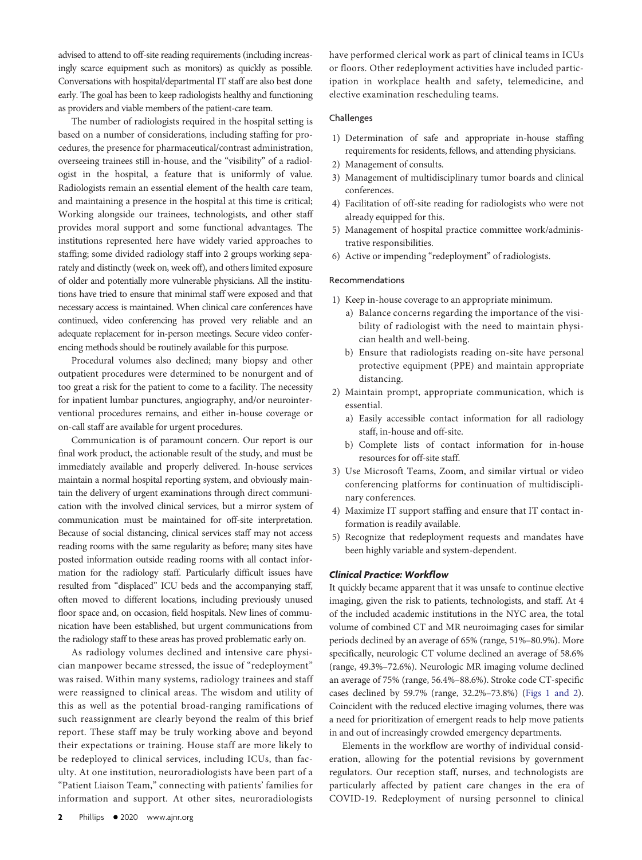advised to attend to off-site reading requirements (including increasingly scarce equipment such as monitors) as quickly as possible. Conversations with hospital/departmental IT staff are also best done early. The goal has been to keep radiologists healthy and functioning as providers and viable members of the patient-care team.

The number of radiologists required in the hospital setting is based on a number of considerations, including staffing for procedures, the presence for pharmaceutical/contrast administration, overseeing trainees still in-house, and the "visibility" of a radiologist in the hospital, a feature that is uniformly of value. Radiologists remain an essential element of the health care team, and maintaining a presence in the hospital at this time is critical; Working alongside our trainees, technologists, and other staff provides moral support and some functional advantages. The institutions represented here have widely varied approaches to staffing; some divided radiology staff into 2 groups working separately and distinctly (week on, week off), and others limited exposure of older and potentially more vulnerable physicians. All the institutions have tried to ensure that minimal staff were exposed and that necessary access is maintained. When clinical care conferences have continued, video conferencing has proved very reliable and an adequate replacement for in-person meetings. Secure video conferencing methods should be routinely available for this purpose.

Procedural volumes also declined; many biopsy and other outpatient procedures were determined to be nonurgent and of too great a risk for the patient to come to a facility. The necessity for inpatient lumbar punctures, angiography, and/or neurointerventional procedures remains, and either in-house coverage or on-call staff are available for urgent procedures.

Communication is of paramount concern. Our report is our final work product, the actionable result of the study, and must be immediately available and properly delivered. In-house services maintain a normal hospital reporting system, and obviously maintain the delivery of urgent examinations through direct communication with the involved clinical services, but a mirror system of communication must be maintained for off-site interpretation. Because of social distancing, clinical services staff may not access reading rooms with the same regularity as before; many sites have posted information outside reading rooms with all contact information for the radiology staff. Particularly difficult issues have resulted from "displaced" ICU beds and the accompanying staff, often moved to different locations, including previously unused floor space and, on occasion, field hospitals. New lines of communication have been established, but urgent communications from the radiology staff to these areas has proved problematic early on.

As radiology volumes declined and intensive care physician manpower became stressed, the issue of "redeployment" was raised. Within many systems, radiology trainees and staff were reassigned to clinical areas. The wisdom and utility of this as well as the potential broad-ranging ramifications of such reassignment are clearly beyond the realm of this brief report. These staff may be truly working above and beyond their expectations or training. House staff are more likely to be redeployed to clinical services, including ICUs, than faculty. At one institution, neuroradiologists have been part of a "Patient Liaison Team," connecting with patients' families for information and support. At other sites, neuroradiologists

have performed clerical work as part of clinical teams in ICUs or floors. Other redeployment activities have included participation in workplace health and safety, telemedicine, and elective examination rescheduling teams.

## Challenges

- 1) Determination of safe and appropriate in-house staffing requirements for residents, fellows, and attending physicians.
- 2) Management of consults.
- 3) Management of multidisciplinary tumor boards and clinical conferences.
- 4) Facilitation of off-site reading for radiologists who were not already equipped for this.
- 5) Management of hospital practice committee work/administrative responsibilities.
- 6) Active or impending "redeployment" of radiologists.

## Recommendations

- 1) Keep in-house coverage to an appropriate minimum.
	- a) Balance concerns regarding the importance of the visibility of radiologist with the need to maintain physician health and well-being.
	- b) Ensure that radiologists reading on-site have personal protective equipment (PPE) and maintain appropriate distancing.
- 2) Maintain prompt, appropriate communication, which is essential.
	- a) Easily accessible contact information for all radiology staff, in-house and off-site.
	- b) Complete lists of contact information for in-house resources for off-site staff.
- 3) Use Microsoft Teams, Zoom, and similar virtual or video conferencing platforms for continuation of multidisciplinary conferences.
- 4) Maximize IT support staffing and ensure that IT contact information is readily available.
- 5) Recognize that redeployment requests and mandates have been highly variable and system-dependent.

## Clinical Practice: Workflow

It quickly became apparent that it was unsafe to continue elective imaging, given the risk to patients, technologists, and staff. At 4 of the included academic institutions in the NYC area, the total volume of combined CT and MR neuroimaging cases for similar periods declined by an average of 65% (range, 51%–80.9%). More specifically, neurologic CT volume declined an average of 58.6% (range, 49.3%–72.6%). Neurologic MR imaging volume declined an average of 75% (range, 56.4%–88.6%). Stroke code CT-specific cases declined by 59.7% (range, 32.2%–73.8%) [\(Figs 1 and 2\)](#page-2-0). Coincident with the reduced elective imaging volumes, there was a need for prioritization of emergent reads to help move patients in and out of increasingly crowded emergency departments.

Elements in the workflow are worthy of individual consideration, allowing for the potential revisions by government regulators. Our reception staff, nurses, and technologists are particularly affected by patient care changes in the era of COVID-19. Redeployment of nursing personnel to clinical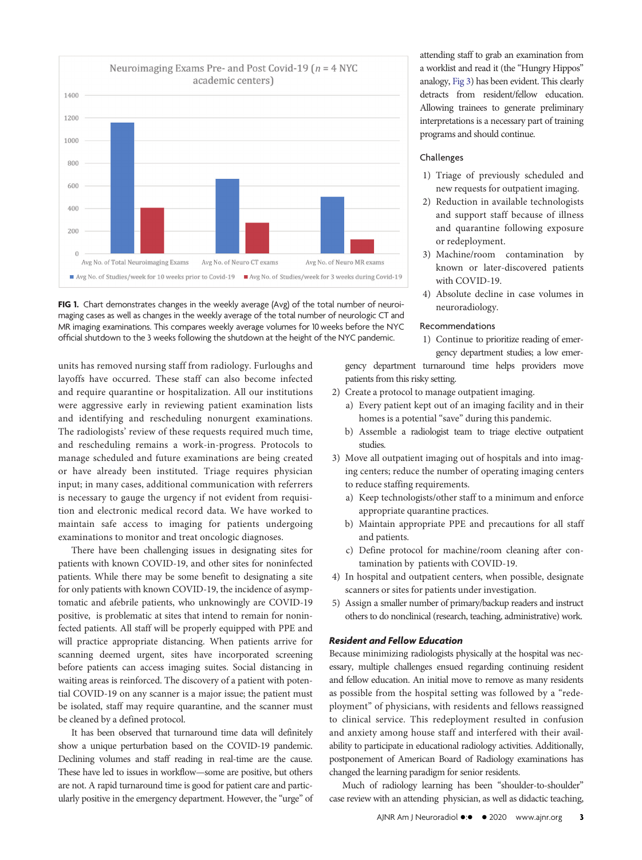

<span id="page-2-0"></span>

units has removed nursing staff from radiology. Furloughs and layoffs have occurred. These staff can also become infected and require quarantine or hospitalization. All our institutions were aggressive early in reviewing patient examination lists and identifying and rescheduling nonurgent examinations. The radiologists' review of these requests required much time, and rescheduling remains a work-in-progress. Protocols to manage scheduled and future examinations are being created or have already been instituted. Triage requires physician input; in many cases, additional communication with referrers is necessary to gauge the urgency if not evident from requisition and electronic medical record data. We have worked to maintain safe access to imaging for patients undergoing examinations to monitor and treat oncologic diagnoses.

There have been challenging issues in designating sites for patients with known COVID-19, and other sites for noninfected patients. While there may be some benefit to designating a site for only patients with known COVID-19, the incidence of asymptomatic and afebrile patients, who unknowingly are COVID-19 positive, is problematic at sites that intend to remain for noninfected patients. All staff will be properly equipped with PPE and will practice appropriate distancing. When patients arrive for scanning deemed urgent, sites have incorporated screening before patients can access imaging suites. Social distancing in waiting areas is reinforced. The discovery of a patient with potential COVID-19 on any scanner is a major issue; the patient must be isolated, staff may require quarantine, and the scanner must be cleaned by a defined protocol.

It has been observed that turnaround time data will definitely show a unique perturbation based on the COVID-19 pandemic. Declining volumes and staff reading in real-time are the cause. These have led to issues in workflow—some are positive, but others are not. A rapid turnaround time is good for patient care and particularly positive in the emergency department. However, the "urge" of attending staff to grab an examination from a worklist and read it (the "Hungry Hippos" analogy, [Fig 3\)](#page-3-0) has been evident. This clearly detracts from resident/fellow education. Allowing trainees to generate preliminary interpretations is a necessary part of training programs and should continue.

## Challenges

- 1) Triage of previously scheduled and new requests for outpatient imaging.
- 2) Reduction in available technologists and support staff because of illness and quarantine following exposure or redeployment.
- 3) Machine/room contamination by known or later-discovered patients with COVID-19.
- 4) Absolute decline in case volumes in neuroradiology.

## Recommendations

1) Continue to prioritize reading of emergency department studies; a low emer-

gency department turnaround time helps providers move patients from this risky setting.

- 2) Create a protocol to manage outpatient imaging.
	- a) Every patient kept out of an imaging facility and in their homes is a potential "save" during this pandemic.
	- b) Assemble a radiologist team to triage elective outpatient studies.
- 3) Move all outpatient imaging out of hospitals and into imaging centers; reduce the number of operating imaging centers to reduce staffing requirements.
	- a) Keep technologists/other staff to a minimum and enforce appropriate quarantine practices.
	- b) Maintain appropriate PPE and precautions for all staff and patients.
	- c) Define protocol for machine/room cleaning after contamination by patients with COVID-19.
- 4) In hospital and outpatient centers, when possible, designate scanners or sites for patients under investigation.
- 5) Assign a smaller number of primary/backup readers and instruct others to do nonclinical (research, teaching, administrative) work.

## Resident and Fellow Education

Because minimizing radiologists physically at the hospital was necessary, multiple challenges ensued regarding continuing resident and fellow education. An initial move to remove as many residents as possible from the hospital setting was followed by a "redeployment" of physicians, with residents and fellows reassigned to clinical service. This redeployment resulted in confusion and anxiety among house staff and interfered with their availability to participate in educational radiology activities. Additionally, postponement of American Board of Radiology examinations has changed the learning paradigm for senior residents.

Much of radiology learning has been "shoulder-to-shoulder" case review with an attending physician, as well as didactic teaching,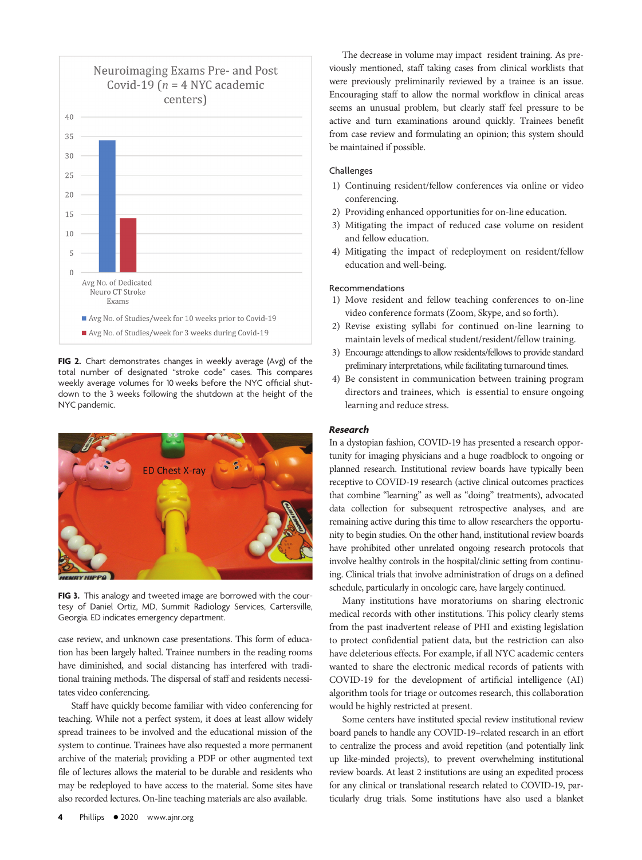

FIG 2. Chart demonstrates changes in weekly average (Avg) of the total number of designated "stroke code" cases. This compares weekly average volumes for 10 weeks before the NYC official shutdown to the 3 weeks following the shutdown at the height of the NYC pandemic.



FIG 3. This analogy and tweeted image are borrowed with the courtesy of Daniel Ortiz, MD, Summit Radiology Services, Cartersville, Georgia. ED indicates emergency department.

<span id="page-3-0"></span>case review, and unknown case presentations. This form of education has been largely halted. Trainee numbers in the reading rooms have diminished, and social distancing has interfered with traditional training methods. The dispersal of staff and residents necessitates video conferencing.

Staff have quickly become familiar with video conferencing for teaching. While not a perfect system, it does at least allow widely spread trainees to be involved and the educational mission of the system to continue. Trainees have also requested a more permanent archive of the material; providing a PDF or other augmented text file of lectures allows the material to be durable and residents who may be redeployed to have access to the material. Some sites have also recorded lectures. On-line teaching materials are also available.

The decrease in volume may impact resident training. As previously mentioned, staff taking cases from clinical worklists that were previously preliminarily reviewed by a trainee is an issue. Encouraging staff to allow the normal workflow in clinical areas seems an unusual problem, but clearly staff feel pressure to be active and turn examinations around quickly. Trainees benefit from case review and formulating an opinion; this system should be maintained if possible.

## Challenges

- 1) Continuing resident/fellow conferences via online or video conferencing.
- 2) Providing enhanced opportunities for on-line education.
- 3) Mitigating the impact of reduced case volume on resident and fellow education.
- 4) Mitigating the impact of redeployment on resident/fellow education and well-being.

# Recommendations

- 1) Move resident and fellow teaching conferences to on-line video conference formats (Zoom, Skype, and so forth).
- 2) Revise existing syllabi for continued on-line learning to maintain levels of medical student/resident/fellow training.
- 3) Encourage attendings to allow residents/fellows to provide standard preliminary interpretations, while facilitating turnaround times.
- 4) Be consistent in communication between training program directors and trainees, which is essential to ensure ongoing learning and reduce stress.

## Research

In a dystopian fashion, COVID-19 has presented a research opportunity for imaging physicians and a huge roadblock to ongoing or planned research. Institutional review boards have typically been receptive to COVID-19 research (active clinical outcomes practices that combine "learning" as well as "doing" treatments), advocated data collection for subsequent retrospective analyses, and are remaining active during this time to allow researchers the opportunity to begin studies. On the other hand, institutional review boards have prohibited other unrelated ongoing research protocols that involve healthy controls in the hospital/clinic setting from continuing. Clinical trials that involve administration of drugs on a defined schedule, particularly in oncologic care, have largely continued.

Many institutions have moratoriums on sharing electronic medical records with other institutions. This policy clearly stems from the past inadvertent release of PHI and existing legislation to protect confidential patient data, but the restriction can also have deleterious effects. For example, if all NYC academic centers wanted to share the electronic medical records of patients with COVID-19 for the development of artificial intelligence (AI) algorithm tools for triage or outcomes research, this collaboration would be highly restricted at present.

Some centers have instituted special review institutional review board panels to handle any COVID-19–related research in an effort to centralize the process and avoid repetition (and potentially link up like-minded projects), to prevent overwhelming institutional review boards. At least 2 institutions are using an expedited process for any clinical or translational research related to COVID-19, particularly drug trials. Some institutions have also used a blanket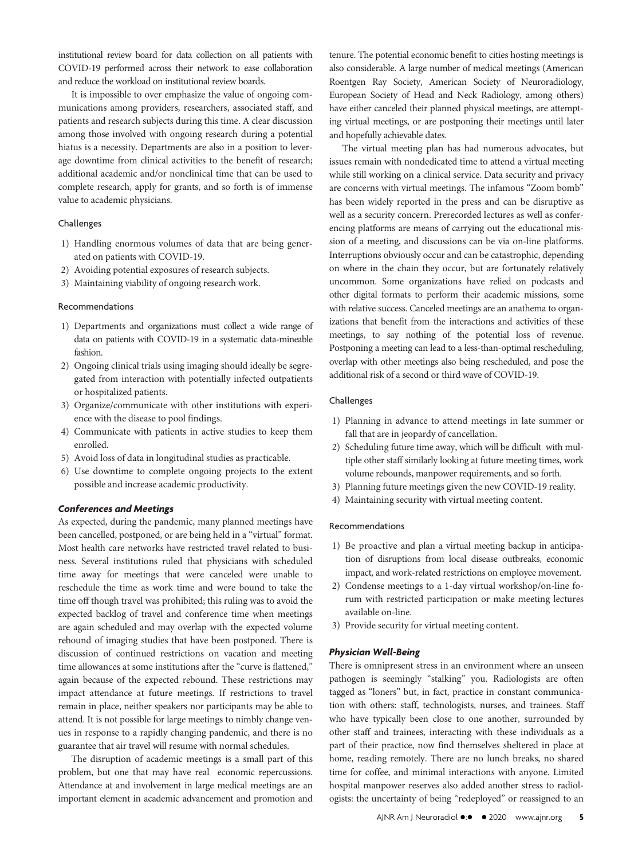institutional review board for data collection on all patients with COVID-19 performed across their network to ease collaboration and reduce the workload on institutional review boards.

It is impossible to over emphasize the value of ongoing communications among providers, researchers, associated staff, and patients and research subjects during this time. A clear discussion among those involved with ongoing research during a potential hiatus is a necessity. Departments are also in a position to leverage downtime from clinical activities to the benefit of research; additional academic and/or nonclinical time that can be used to complete research, apply for grants, and so forth is of immense value to academic physicians.

## Challenges

- 1) Handling enormous volumes of data that are being generated on patients with COVID-19.
- 2) Avoiding potential exposures of research subjects.
- 3) Maintaining viability of ongoing research work.

#### Recommendations

- 1) Departments and organizations must collect a wide range of data on patients with COVID-19 in a systematic data-mineable fashion.
- 2) Ongoing clinical trials using imaging should ideally be segregated from interaction with potentially infected outpatients or hospitalized patients.
- 3) Organize/communicate with other institutions with experience with the disease to pool findings.
- 4) Communicate with patients in active studies to keep them enrolled.
- 5) Avoid loss of data in longitudinal studies as practicable.
- 6) Use downtime to complete ongoing projects to the extent possible and increase academic productivity.

## Conferences and Meetings

As expected, during the pandemic, many planned meetings have been cancelled, postponed, or are being held in a "virtual" format. Most health care networks have restricted travel related to business. Several institutions ruled that physicians with scheduled time away for meetings that were canceled were unable to reschedule the time as work time and were bound to take the time off though travel was prohibited; this ruling was to avoid the expected backlog of travel and conference time when meetings are again scheduled and may overlap with the expected volume rebound of imaging studies that have been postponed. There is discussion of continued restrictions on vacation and meeting time allowances at some institutions after the "curve is flattened," again because of the expected rebound. These restrictions may impact attendance at future meetings. If restrictions to travel remain in place, neither speakers nor participants may be able to attend. It is not possible for large meetings to nimbly change venues in response to a rapidly changing pandemic, and there is no guarantee that air travel will resume with normal schedules.

The disruption of academic meetings is a small part of this problem, but one that may have real economic repercussions. Attendance at and involvement in large medical meetings are an important element in academic advancement and promotion and

tenure. The potential economic benefit to cities hosting meetings is also considerable. A large number of medical meetings (American Roentgen Ray Society, American Society of Neuroradiology, European Society of Head and Neck Radiology, among others) have either canceled their planned physical meetings, are attempting virtual meetings, or are postponing their meetings until later and hopefully achievable dates.

The virtual meeting plan has had numerous advocates, but issues remain with nondedicated time to attend a virtual meeting while still working on a clinical service. Data security and privacy are concerns with virtual meetings. The infamous "Zoom bomb" has been widely reported in the press and can be disruptive as well as a security concern. Prerecorded lectures as well as conferencing platforms are means of carrying out the educational mission of a meeting, and discussions can be via on-line platforms. Interruptions obviously occur and can be catastrophic, depending on where in the chain they occur, but are fortunately relatively uncommon. Some organizations have relied on podcasts and other digital formats to perform their academic missions, some with relative success. Canceled meetings are an anathema to organizations that benefit from the interactions and activities of these meetings, to say nothing of the potential loss of revenue. Postponing a meeting can lead to a less-than-optimal rescheduling, overlap with other meetings also being rescheduled, and pose the additional risk of a second or third wave of COVID-19.

### Challenges

- 1) Planning in advance to attend meetings in late summer or fall that are in jeopardy of cancellation.
- 2) Scheduling future time away, which will be difficult with multiple other staff similarly looking at future meeting times, work volume rebounds, manpower requirements, and so forth.
- 3) Planning future meetings given the new COVID-19 reality.
- 4) Maintaining security with virtual meeting content.

#### Recommendations

- 1) Be proactive and plan a virtual meeting backup in anticipation of disruptions from local disease outbreaks, economic impact, and work-related restrictions on employee movement.
- 2) Condense meetings to a 1-day virtual workshop/on-line forum with restricted participation or make meeting lectures available on-line.
- 3) Provide security for virtual meeting content.

## Physician Well-Being

There is omnipresent stress in an environment where an unseen pathogen is seemingly "stalking" you. Radiologists are often tagged as "loners" but, in fact, practice in constant communication with others: staff, technologists, nurses, and trainees. Staff who have typically been close to one another, surrounded by other staff and trainees, interacting with these individuals as a part of their practice, now find themselves sheltered in place at home, reading remotely. There are no lunch breaks, no shared time for coffee, and minimal interactions with anyone. Limited hospital manpower reserves also added another stress to radiologists: the uncertainty of being "redeployed" or reassigned to an